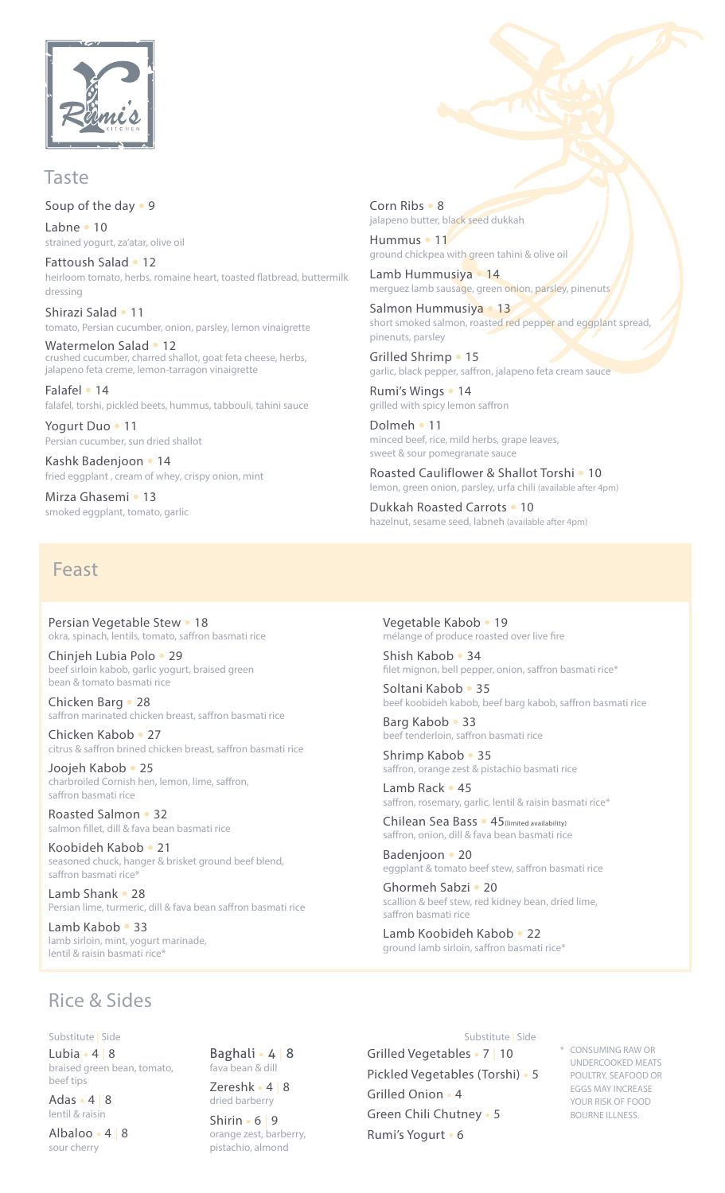

#### Taste

Soup of the day • 9 Labne • 10 strained yogurt, za'atar, olive oil

Fattoush Salad • 12 heirloom tomato, herbs, romaine heart, toasted flatbread, buttermilk dressing

Shirazi Salad • 11 tomato, Persian cucumber, onion, parsley, lemon vinaigrette

Watermelon Salad • 12 crushed cucumber, charred shallot, goat feta cheese, herbs, jalapeno feta creme, lemon-tarragon vinaigrette

Falafel • 14 falafel, torshi, pickled beets, hummus, tabbouli, tahini sauce

Yogurt Duo • 11 Persian cucumber, sun dried shallot

Kashk Badenjoon • 14 fried eggplant, cream of whey, crispy onion, mint

Mirza Ghasemi • 13 smoked eggplant, tomato, garlic Corn Ribs • 8 jalapeno butter, black seed dukkah

Hummus • 11 ground chickpea with green tahini & olive oil

Lamb Hummusiya • 14 merguez lamb sausage, green onion, parsley, pinenuts

Salmon Hummusiya • 13 short smoked salmon, roasted red pepper and eggplant spread, pinenuts, parsley

Grilled Shrimp • 15 garlic, black pepper, saffron, jalapeno feta cream sauce

Rumi's Wings • 14 grilled with spicy lemon saffron

Dolmeh • 11 minced beef, rice, mild herbs, grape leaves, sweet & sour pomegranate sauce

Roasted Cauliflower & Shallot Torshi . 10 lemon, green onion, parsley, urfa chili (available after 4pm)

Dukkah Roasted Carrots . 10 hazelnut, sesame seed, labneh (available after 4pm)

### Feast

Persian Vegetable Stew • 18 okra, spinach, lentils, tomato, saffron basmati rice

Chinjeh Lubia Polo • 29 beef sirloin kabob, garlic yogurt, braised green bean & tomato basmati rice

Chicken Barg • 28 saffron marinated chicken breast, saffron basmati rice

Chicken Kabob • 27 citrus & saffron brined chicken breast, saffron basmati rice

Joojeh Kabob • 25 charbroiled Cornish hen, lemon, lime, saffron, saffron basmati rice

Roasted Salmon • 32 salmon fillet, dill & fava bean basmati rice

Koobideh Kabob • 21 seasoned chuck, hanger & brisket ground beef blend, saffron basmati rice

Lamb Shank • 28 Persian lime, turmeric, dill & fava bean saffron basmati rice

Lamb Kabob • 33 lamb sirloin, mint, yogurt marinade, lentil & raisin basmati rice\*

Vegetable Kabob • 19 mélange of produce roasted over live fire

Shish Kabob • 34 filet mignon, bell pepper, onion, saffron basmati rice\*

Soltani Kabob • 35 beef koobideh kabob, beef barg kabob, saffron basmati rice

Barg Kabob • 33 beef tenderloin, saffron basmati rice

Shrimp Kabob • 35 saffron, orange zest & pistachio basmati rice

Lamb Rack • 45 saffron, rosemary, garlic, lentil & raisin basmati rice\*

Chilean Sea Bass • 45 (limited availability) saffron, onion, dill & fava bean basmati rice

Badenjoon • 20 eggplant & tomato beef stew, saffron basmati rice

Ghormeh Sabzi • 20 scallion & beef stew, red kidney bean, dried lime, saffron basmati rice

Substitute | Side

Lamb Koobideh Kabob • 22 around lamb sirloin, saffron basmati rice\*

### **Rice & Sides**

Substitute | Side

Lubia  $\cdot$  4 | 8 braised green bean, tomato, beef tips

Adas  $\cdot$  4 8 lentil & raisin

Albaloo · 4 8 sour cherry

Baghali · 4 | 8 fava bean & dill Zereshk  $\cdot$  4 | 8

dried barberry  $Shirin 6 | 9$ orange zest, barberry, pistachio, almond

Grilled Vegetables • 7 | 10 Pickled Vegetables (Torshi) · 5 Grilled Onion . 4 Green Chili Chutney . 5

Rumi's Yogurt • 6

CONSUMING RAW OR UNDERCOOKED MEATS POULTRY, SEAFOOD OR EGGS MAY INCREASE YOUR RISK OF FOOD BOURNE ILLNESS.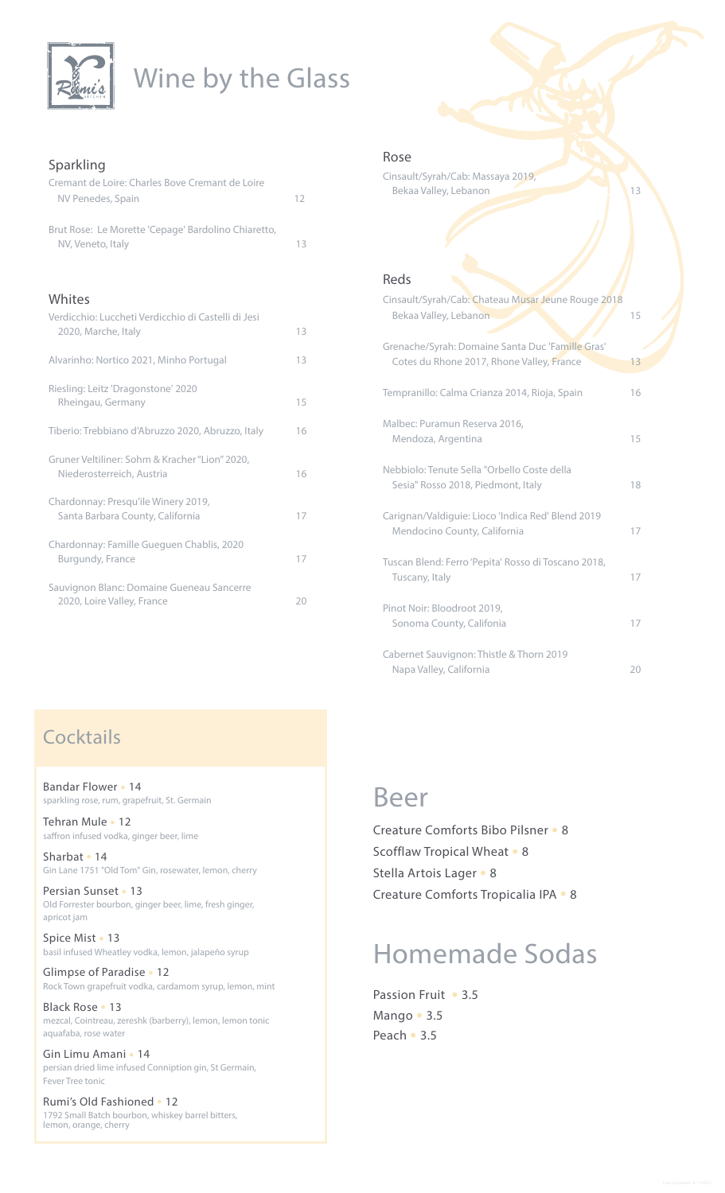

# Wine by the Glass

#### Sparkling

| Cremant de Loire: Charles Bove Cremant de Loire<br>NV Penedes, Spain        | 12 |
|-----------------------------------------------------------------------------|----|
| Brut Rose: Le Morette 'Cepage' Bardolino Chiaretto,<br>NV, Veneto, Italy    | 13 |
|                                                                             |    |
| Whites                                                                      |    |
| Verdicchio: Luccheti Verdicchio di Castelli di Jesi<br>2020, Marche, Italy  | 13 |
| Alvarinho: Nortico 2021, Minho Portugal                                     | 13 |
| Riesling: Leitz 'Dragonstone' 2020<br>Rheingau, Germany                     | 15 |
| Tiberio: Trebbiano d'Abruzzo 2020, Abruzzo, Italy                           | 16 |
| Gruner Veltiliner: Sohm & Kracher "Lion" 2020,<br>Niederosterreich, Austria | 16 |
| Chardonnay: Presqu'ile Winery 2019,<br>Santa Barbara County, California     | 17 |
| Chardonnay: Famille Gueguen Chablis, 2020<br>Burgundy, France               | 17 |
| Sauvignon Blanc: Domaine Gueneau Sancerre<br>2020, Loire Valley, France     | 20 |

#### Rose

Cinsault/Syrah/Cab: Massaya 2019, Bekaa Valley, Lebanon ,Valley Bekaa Valley, Lebanon ,Valley ,Valley ,Valley ,Valley ,Valley ,Valley ,Valley ,Va

#### Reds

| Cinsault/Syrah/Cab: Chateau Musar Jeune Rouge 2018<br>Bekaa Valley, Lebanon                   | 15 |
|-----------------------------------------------------------------------------------------------|----|
| Grenache/Syrah: Domaine Santa Duc 'Famille Gras'<br>Cotes du Rhone 2017, Rhone Valley, France | 13 |
| Tempranillo: Calma Crianza 2014, Rioja, Spain                                                 | 16 |
| Malbec: Puramun Reserva 2016,<br>Mendoza, Argentina                                           | 15 |
| Nebbiolo: Tenute Sella "Orbello Coste della<br>Sesia" Rosso 2018, Piedmont, Italy             | 18 |
| Carignan/Valdiguie: Lioco 'Indica Red' Blend 2019<br>Mendocino County, California             | 17 |
| Tuscan Blend: Ferro 'Pepita' Rosso di Toscano 2018,<br>Tuscany, Italy                         | 17 |
| Pinot Noir: Bloodroot 2019,<br>Sonoma County, Califonia                                       | 17 |
| Cabernet Sauvignon: Thistle & Thorn 2019<br>Napa Valley, California                           | 20 |

### Cocktails

Bandar Flower • 14 sparkling rose, rum, grapefruit, St. Germain

Tehran Mule • 12 saffron infused vodka, ginger beer, lime

Sharbat • 14 Gin Lane 1751 "Old Tom" Gin, rosewater, lemon, cherry

Persian Sunset • 13 Old Forrester bourbon, ginger beer, lime, fresh ginger, apricot jam

Spice Mist . 13 basil infused Wheatley vodka, lemon, jalapeño syrup

Glimpse of Paradise . 12 Rock Town grapefruit vodka, cardamom syrup, lemon, mint

Black Rose . 13 mezcal, Cointreau, zereshk (barberry), lemon, lemon tonic aquafaba, rose water

Gin Limu Amani • 14 persian dried lime infused Conniption gin, St Germain, Fever Tree tonic

Rumi's Old Fashioned . 12 1792 Small Batch bourbon, whiskey barrel bitters, lemon, orange, cherry

# Beer

Creature Comforts Bibo Pilsner • 8 Scofflaw Tropical Wheat • 8 Stella Artois Lager • 8 Creature Comforts Tropicalia IPA . 8

# Homemade Sodas

Passion Fruit • 3.5 Mango · 3.5 Peach • 3.5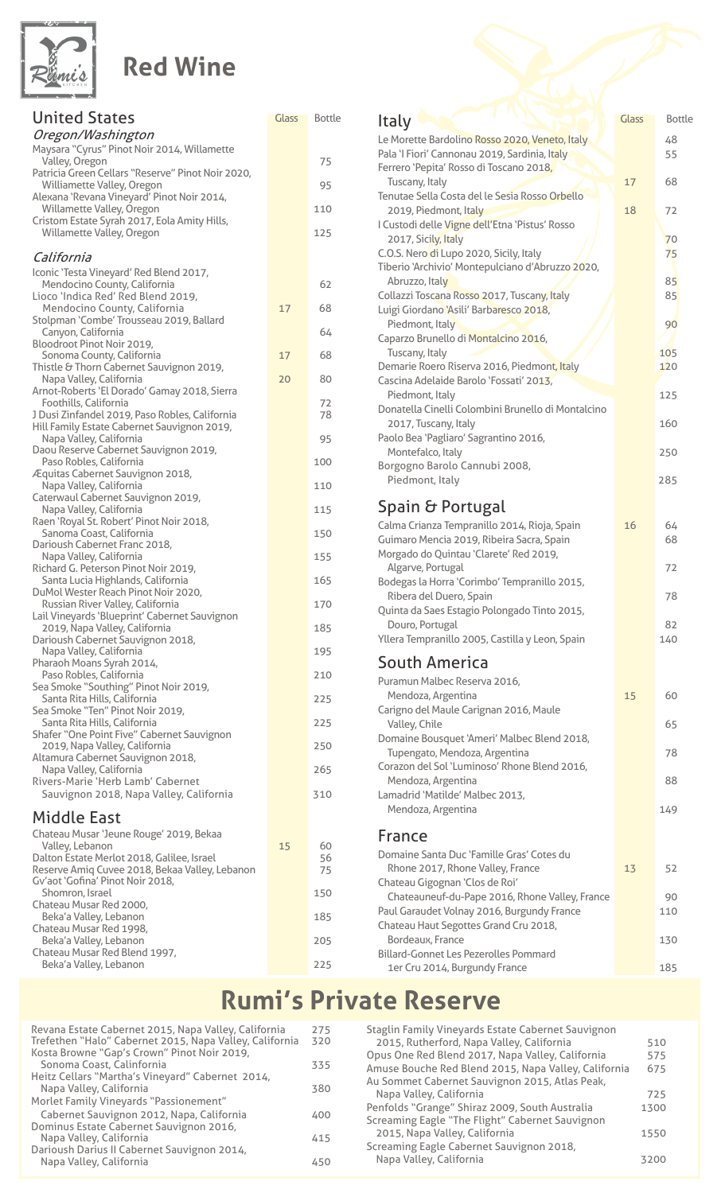

## **Red Wine**

| <b>United States</b><br>Oregon/Washington                                                     | Glass | <b>Bottle</b> |
|-----------------------------------------------------------------------------------------------|-------|---------------|
| Maysara "Cyrus" Pinot Noir 2014, Willamette<br>Valley, Oregon                                 |       | 75            |
| Patricia Green Cellars "Reserve" Pinot Noir 2020,<br>Williamette Valley, Oregon               |       | 95            |
| Alexana 'Revana Vineyard' Pinot Noir 2014,                                                    |       |               |
| Willamette Valley, Oregon<br>Cristom Estate Syrah 2017, Eola Amity Hills,                     |       | 110           |
| Willamette Valley, Oregon                                                                     |       | 125           |
| California                                                                                    |       |               |
| Iconic 'Testa Vineyard' Red Blend 2017,<br>Mendocino County, California                       |       | 62            |
| Lioco 'Indica Red' Red Blend 2019,<br>Mendocino County, California                            | 17    | 68            |
| Stolpman 'Combe' Trousseau 2019, Ballard                                                      |       | 64            |
| Canyon, California<br>Bloodroot Pinot Noir 2019,                                              |       |               |
| Sonoma County, California<br>Thistle & Thorn Cabernet Sauvignon 2019,                         | 17    | 68            |
| Napa Valley, California<br>Arnot-Roberts 'El Dorado' Gamay 2018, Sierra                       | 20    | 80            |
| Foothills, California                                                                         |       | 72            |
| J Dusi Zinfandel 2019, Paso Robles, California<br>Hill Family Estate Cabernet Sauvignon 2019, |       | 78            |
| Napa Valley, California<br>Daou Reserve Cabernet Sauvignon 2019,                              |       | 95            |
| Paso Robles, California<br>Æquitas Cabernet Sauvignon 2018,                                   |       | 100           |
| Napa Valley, California                                                                       |       | 110           |
| Caterwaul Cabernet Sauvignon 2019,<br>Napa Valley, California                                 |       | 115           |
| Raen 'Royal St. Robert' Pinot Noir 2018,<br>Sanoma Coast, California                          |       | 150           |
| Darioush Cabernet Franc 2018,<br>Napa Valley, California                                      |       | 155           |
| Richard G. Peterson Pinot Noir 2019,<br>Santa Lucia Highlands, California                     |       | 165           |
| DuMol Wester Reach Pinot Noir 2020,                                                           |       |               |
| Russian River Valley, California<br>Lail Vineyards 'Blueprint' Cabernet Sauvignon             |       | 170           |
| 2019, Napa Valley, California<br>Darioush Cabernet Sauvignon 2018,                            |       | 185           |
| Napa Valley, California<br>Pharaoh Moans Syrah 2014,                                          |       | 195           |
| Paso Robles, California                                                                       |       | 210           |
| Sea Smoke "Southing" Pinot Noir 2019,<br>Santa Rita Hills, California                         |       | 225           |
| Sea Smoke "Ten" Pinot Noir 2019,<br>Santa Rita Hills, California                              |       | 225           |
| Shafer "One Point Five" Cabernet Sauvignon<br>2019, Napa Valley, California                   |       | 250           |
| Altamura Cabernet Sauvignon 2018,                                                             |       |               |
| Napa Valley, California<br>Rivers-Marie 'Herb Lamb' Cabernet                                  |       | 265           |
| Sauvignon 2018, Napa Valley, California                                                       |       | 310           |
| <b>Middle East</b>                                                                            |       |               |
| Chateau Musar 'Jeune Rouge' 2019, Bekaa<br>Valley, Lebanon                                    | 15    | 60            |
| Dalton Estate Merlot 2018, Galilee, Israel<br>Reserve Amiq Cuvee 2018, Bekaa Valley, Lebanon  |       | 56<br>75      |
| Gv'aot 'Gofina' Pinot Noir 2018,<br>Shomron, Israel                                           |       | 150           |
| Chateau Musar Red 2000,                                                                       |       |               |
| Beka'a Valley, Lebanon<br>Chateau Musar Red 1998,                                             |       | 185           |
| Beka'a Valley, Lebanon                                                                        |       | 205           |

| Glass | <b>Bottle</b> |                                                                                             |       |               |
|-------|---------------|---------------------------------------------------------------------------------------------|-------|---------------|
|       |               | Italy                                                                                       | Glass | <b>Bottle</b> |
|       |               | Le Morette Bardolino Rosso 2020, Veneto, Italy                                              |       | 48            |
|       | 75            | Pala 'I Fiori' Cannonau 2019, Sardinia, Italy<br>Ferrero 'Pepita' Rosso di Toscano 2018,    |       | 55            |
|       |               | Tuscany, Italy                                                                              | 17    | 68            |
|       | 95            | Tenutae Sella Costa del le Sesia Rosso Orbello                                              |       |               |
|       | 110           | 2019, Piedmont, Italy                                                                       | 18    | 72            |
|       | 125           | I Custodi delle Vigne dell'Etna 'Pistus' Rosso                                              |       |               |
|       |               | 2017, Sicily, Italy                                                                         |       | 70            |
|       |               | C.O.S. Nero di Lupo 2020, Sicily, Italy<br>Tiberio 'Archivio' Montepulciano d'Abruzzo 2020, |       | 75            |
|       | 62            | Abruzzo, Italy                                                                              |       | 85            |
|       |               | Collazzi Toscana Rosso 2017, Tuscany, Italy                                                 |       | 85            |
| 17    | 68            | Luigi Giordano 'Asili' Barbaresco 2018,                                                     |       |               |
|       | 64            | Piedmont, Italy                                                                             |       | 90            |
|       |               | Caparzo Brunello di Montalcino 2016,                                                        |       |               |
| 17    | 68            | Tuscany, Italy                                                                              |       | 105           |
| 20    | 80            | Demarie Roero Riserva 2016, Piedmont, Italy<br>Cascina Adelaide Barolo 'Fossati' 2013,      |       | 120           |
|       |               | Piedmont, Italy                                                                             |       | 125           |
|       | 72<br>78      | Donatella Cinelli Colombini Brunello di Montalcino                                          |       |               |
|       |               | 2017, Tuscany, Italy                                                                        |       | 160           |
|       | 95            | Paolo Bea 'Pagliaro' Sagrantino 2016,                                                       |       |               |
|       | 100           | Montefalco, Italy                                                                           |       | 250           |
|       |               | Borgogno Barolo Cannubi 2008,<br>Piedmont, Italy                                            |       |               |
|       | 110           |                                                                                             |       | 285           |
|       | 115           | Spain & Portugal                                                                            |       |               |
|       |               | Calma Crianza Tempranillo 2014, Rioja, Spain                                                | 16    | 64            |
|       | 150           | Guimaro Mencia 2019, Ribeira Sacra, Spain                                                   |       | 68            |
|       | 155           | Morgado do Quintau 'Clarete' Red 2019,                                                      |       |               |
|       |               | Algarve, Portugal                                                                           |       | 72            |
|       | 165           | Bodegas la Horra 'Corimbo' Tempranillo 2015,<br>Ribera del Duero, Spain                     |       | 78            |
|       | 170           | Quinta da Saes Estagio Polongado Tinto 2015,                                                |       |               |
|       | 185           | Douro, Portugal                                                                             |       | 82            |
|       |               | Yllera Tempranillo 2005, Castilla y Leon, Spain                                             |       | 140           |
|       | 195           | <b>South America</b>                                                                        |       |               |
|       | 210           |                                                                                             |       |               |
|       |               | Puramun Malbec Reserva 2016,<br>Mendoza, Argentina                                          | 15    | 60            |
|       | 225           | Carigno del Maule Carignan 2016, Maule                                                      |       |               |
|       | 225           | Valley, Chile                                                                               |       | 65            |
|       |               | Domaine Bousquet 'Ameri' Malbec Blend 2018,                                                 |       |               |
|       | 250           | Tupengato, Mendoza, Argentina                                                               |       | 78            |
|       | 265           | Corazon del Sol 'Luminoso' Rhone Blend 2016,                                                |       |               |
|       | 310           | Mendoza, Argentina<br>Lamadrid 'Matilde' Malbec 2013,                                       |       | 88            |
|       |               | Mendoza, Argentina                                                                          |       | 149           |
|       |               |                                                                                             |       |               |
|       |               | France                                                                                      |       |               |
| 15    | 60<br>56      | Domaine Santa Duc 'Famille Gras' Cotes du                                                   |       |               |
|       | 75            | Rhone 2017, Rhone Valley, France                                                            | 13    | 52            |
|       |               | Chateau Gigognan 'Clos de Roi'                                                              |       |               |
|       | 150           | Chateauneuf-du-Pape 2016, Rhone Valley, France                                              |       | 90            |
|       | 185           | Paul Garaudet Volnay 2016, Burgundy France<br>Chateau Haut Segottes Grand Cru 2018,         |       | 110           |
|       | 205           | Bordeaux, France                                                                            |       | 130           |
|       |               | <b>Billard-Gonnet Les Pezerolles Pommard</b>                                                |       |               |
|       | 225           | 1er Cru 2014, Burgundy France                                                               |       | 185           |

# **Rumi's Private Reserve**

| Revana Estate Cabernet 2015, Napa Valley, California    | 275 |
|---------------------------------------------------------|-----|
| Trefethen "Halo" Cabernet 2015, Napa Valley, California | 320 |
| Kosta Browne "Gap's Crown" Pinot Noir 2019,             |     |
| Sonoma Coast, Calinfornia                               | 335 |
| Heitz Cellars "Martha's Vineyard" Cabernet 2014,        |     |
| Napa Valley, California                                 | 380 |
| Morlet Family Vineyards "Passionement"                  |     |
| Cabernet Sauvignon 2012, Napa, California               | 400 |
| Dominus Estate Cabernet Sauvignon 2016,                 |     |
| Napa Valley, California                                 | 415 |
| Darioush Darius II Cabernet Sauvignon 2014,             |     |
| Napa Valley, California                                 | 450 |
|                                                         |     |

225 Beka'a Valley, Lebanon ,Valley and Seka'a Valley, Lebanon ,Valley and Seka

Chateau Musar Red Blend 1997,

| Staglin Family Vineyards Estate Cabernet Sauvignon   |      |
|------------------------------------------------------|------|
| 2015, Rutherford, Napa Valley, California            | 510  |
| Opus One Red Blend 2017, Napa Valley, California     | 575  |
| Amuse Bouche Red Blend 2015, Napa Valley, California | 675  |
| Au Sommet Cabernet Sauvignon 2015, Atlas Peak,       |      |
| Napa Valley, California                              | 725  |
| Penfolds "Grange" Shiraz 2009, South Australia       | 1300 |
| Screaming Eagle "The Flight" Cabernet Sauvignon      |      |
| 2015, Napa Valley, California                        | 1550 |
| Screaming Eagle Cabernet Sauvignon 2018,             |      |
| Napa Valley, California                              | 3200 |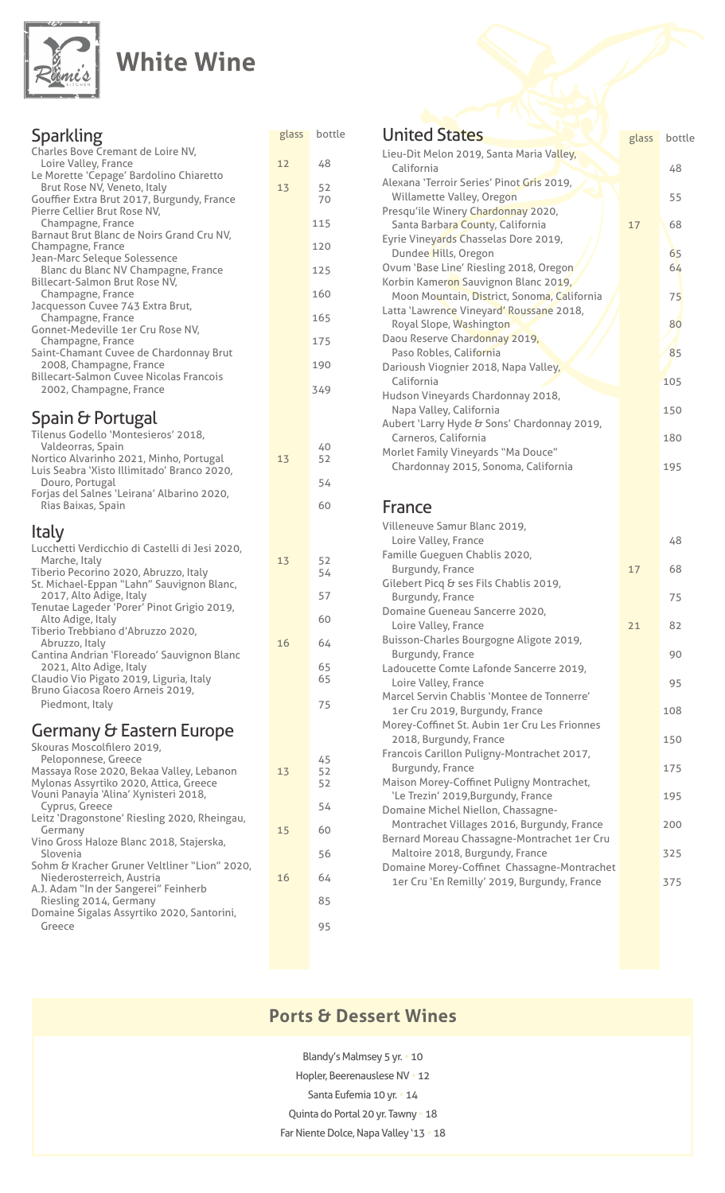

### **White Wine**

| Sparkling                                                                       | glass | bottle   |
|---------------------------------------------------------------------------------|-------|----------|
| Charles Bove Cremant de Loire NV,                                               |       |          |
| Loire Valley, France<br>Le Morette 'Cepage' Bardolino Chiaretto                 | 12    | 48       |
| Brut Rose NV, Veneto, Italy<br>Gouffier Extra Brut 2017, Burgundy, France       | 13    | 52<br>70 |
| Pierre Cellier Brut Rose NV,                                                    |       |          |
| Champagne, France<br>Barnaut Brut Blanc de Noirs Grand Cru NV,                  |       | 115      |
| Champagne, France<br>Jean-Marc Seleque Solessence                               |       | 120      |
| Blanc du Blanc NV Champagne, France<br>Billecart-Salmon Brut Rose NV,           |       | 125      |
| Champagne, France                                                               |       | 160      |
| Jacquesson Cuvee 743 Extra Brut,<br>Champagne, France                           |       | 165      |
| Gonnet-Medeville 1er Cru Rose NV,<br>Champagne, France                          |       | 175      |
| Saint-Chamant Cuvee de Chardonnay Brut                                          |       |          |
| 2008, Champagne, France<br><b>Billecart-Salmon Cuvee Nicolas Francois</b>       |       | 190      |
| 2002, Champagne, France                                                         |       | 349      |
| Spain & Portugal                                                                |       |          |
| Tilenus Godello 'Montesieros' 2018,                                             |       |          |
| Valdeorras, Spain<br>Nortico Alvarinho 2021, Minho, Portugal                    | 13    | 40<br>52 |
| Luis Seabra 'Xisto Illimitado' Branco 2020,<br>Douro, Portugal                  |       | 54       |
| Forjas del Salnes 'Leirana' Albarino 2020,                                      |       |          |
| Rias Baixas, Spain                                                              |       | 60       |
| Italy                                                                           |       |          |
| Lucchetti Verdicchio di Castelli di Jesi 2020,<br>Marche, Italy                 | 13    | 52       |
| Tiberio Pecorino 2020, Abruzzo, Italy                                           |       | 54       |
| St. Michael-Eppan "Lahn" Sauvignon Blanc,<br>2017, Alto Adige, Italy            |       | 57       |
| Tenutae Lageder 'Porer' Pinot Grigio 2019,<br>Alto Adige, Italy                 |       | 60       |
| Tiberio Trebbiano d'Abruzzo 2020,                                               |       |          |
| Abruzzo, Italy<br>Cantina Andrian 'Floreado' Sauvignon Blanc                    | 16    | 64       |
| 2021, Alto Adige, Italy<br>Claudio Vio Pigato 2019, Liguria, Italy              |       | 65<br>65 |
| Bruno Giacosa Roero Arneis 2019,                                                |       |          |
| Piedmont, Italy                                                                 |       | 75       |
| Germany & Eastern Europe                                                        |       |          |
| Skouras Moscolfilero 2019,<br>Peloponnese, Greece                               |       | 45       |
| Massaya Rose 2020, Bekaa Valley, Lebanon                                        | 13    | 52       |
| Mylonas Assyrtiko 2020, Attica, Greece<br>Vouni Panayia 'Alina' Xynisteri 2018, |       | 52       |
| Cyprus, Greece<br>Leitz 'Dragonstone' Riesling 2020, Rheingau,                  |       | 54       |
| Germany                                                                         | 15    | 60       |
| Vino Gross Haloze Blanc 2018, Stajerska,<br>Slovenia                            |       | 56       |
| Sohm & Kracher Gruner Veltliner "Lion" 2020,<br>Niederosterreich, Austria       | 16    | 64       |
| A.J. Adam "In der Sangerei" Feinherb                                            |       | 85       |
| Riesling 2014, Germany<br>Domaine Sigalas Assyrtiko 2020, Santorini,            |       |          |

<u>Greece</u> and Service and Service and Service and Service and Service and Service and Service and Service and Se

#### **United States** Lieu-Dit Melon 2019, Santa Maria Valley, California 48 Alexana 'Terroir Series' Pinot Gris 2019, Willamette Valley, Oregon **1999** Millamette Valley, Oregon **1999** Millamete Valley, Oregon 1999 Millameter 1999 Presqu'ile Winery Chardonnay 2020, Santa Barbara County, California 17 17 68 Eyrie Vineyards Chasselas Dore 2019, Dundee Hills, Oregon Marine Maria 1999 Ovum 'Base Line' Riesling 2018, Oregon / Allen Base 'O' Korbin Kameron Sauvignon Blanc 2019, Moon Mountain, District, Sonoma, California 1986 1997 Latta 'Lawrence Vineyard' Roussane 2018, **Royal Slope, Washington 60 Mars 20 Mars 20 Mars 20 Mars 20 Mars 20 Mars 20 Mars 20 Mars 20 Mars 20 Mars 20 Mars 20 Mars 20 Mars 20 Mars 20 Mars 20 Mars 20 Mars 20 Mars 20 Mars 20 Mars 20 Mars 20 Mars 20 Mars 20 Mars 20 Ma** Daou Reserve Chardonnay 2019, Paso Robles, California (1985) 1985 Darioush Viognier 2018, Napa Valley, California 105 Hudson Vineyards Chardonnay 2018, Napa Valley, California (150) (150) 150 Aubert 'Larry Hyde & Sons' Chardonnay 2019, Carneros, California (180) 180 Morlet Family Vineyards "Ma Douce" Chardonnay 2015, Sonoma, California 195 France Villeneuve Samur Blanc 2019, Loire Valley, France 48 Famille Gueguen Chablis 2020, Burgundy, France **17 68** Gilebert Picq & ses Fils Chablis 2019, **Example 19 France** 6 France 6 France 6 France 6 France 6 France 6 France 6 France 6 France 6 France 6 France 6 France 6 France 6 France 6 France 6 France 6 France 6 France 6 France 6 France 6 France 6 France 6 France 6 Fr Domaine Gueneau Sancerre 2020, Loire Valley, France **1988** 21 82 Buisson-Charles Bourgogne Aligote 2019, Burgundy, France 61, 1990 and 1990 Ladoucette Comte Lafonde Sancerre 2019, **Loire Valley, France Contract Contract Contract Contract Contract Contract Contract Contract Contract Contract Contract Contract Contract Contract Contract Contract Contract Contract Contract Contract Contract Contract** Marcel Servin Chablis 'Montee de Tonnerre' 108 The Cru 2019, Burgundy, France Morey-Coffinet St. Aubin 1er Cru Les Frionnes 2018, Burgundy, France and European and European and European and European and European and European and Europe Francois Carillon Puligny-Montrachet 2017, Burgundy, France **175** Maison Morey-Coffinet Puligny Montrachet, 195 France ,Burgundy, France ,Burgundy, Trezin' 2019,Burgundy, France Montrachet Villages 2016, Burgundy, France 200 Domaine Michel Niellon, Chassagne-Bernard Moreau Chassagne-Montrachet 1er Cru Maltoire 2018, Burgundy, France **Maltoire 2018, Australian Edge** Domaine Morey-Coffinet Chassagne-Montrachet 1er Cru 'En Remilly' 2019, Burgundy, France 375 glass bottle

### **Ports & Dessert Wines**

Blandy's Malmsey 5 yr. • 10 Hopler, Beerenauslese NV · 12 Santa Eufemia 10 yr. • 14 Quinta do Portal 20 yr. Tawny . 18 Far Niente Dolce, Napa Valley '13 . 18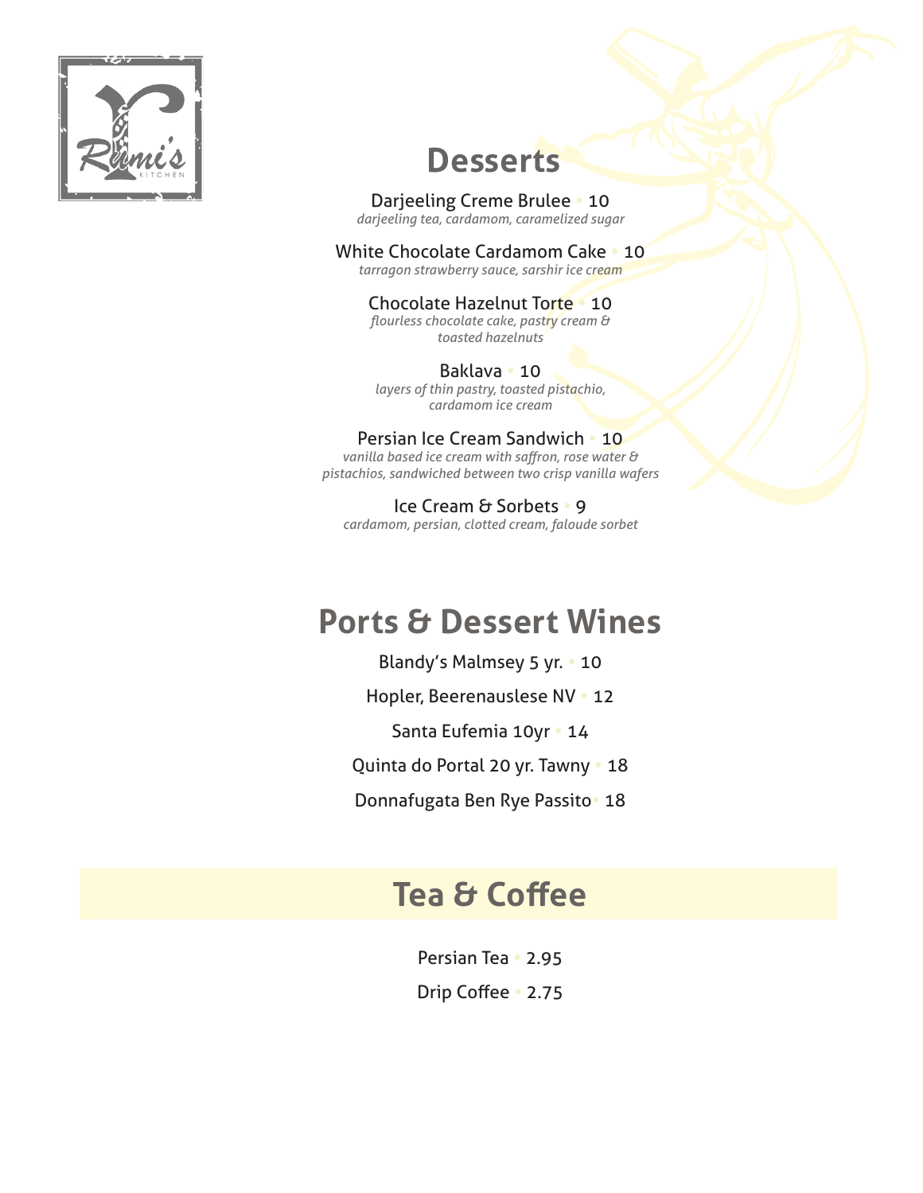

## **Desserts**

#### **Darjeeling Creme Brulee • 10**

darjeeling tea, cardamom, caramelized sugar

#### **White Chocolate Cardamom Cake . 10**

tarragon strawberry sauce, sarshir *ice cream* 

#### **Chocolate Hazelnut Torte 10**

flourless chocolate cake, pastry cream & toasted hazelnuts

#### 10 **•** Baklava

layers of thin pastry, toasted pistachio, *cream ice cardamom*

#### Persian Ice Cream Sandwich . 10

vanilla based ice cream with saffron, rose water & pistachios, sandwiched between two crisp vanilla wafers

**Ice Cream & Sorbets • 9** cardamom, persian, clotted cream, faloude sorbet

### **Ports & Dessert Wines**

Blandy's Malmsey 5 yr. • 10 Hopler, Beerenauslese NV · 12 Santa Eufemia 10yr · 14 Quinta do Portal 20 yr. Tawny . 18

**Donnafugata Ben Rye Passito 18** 

### **Tea & Coffee**

**Persian Tea • 2.95 Drip Coffee** 2.75